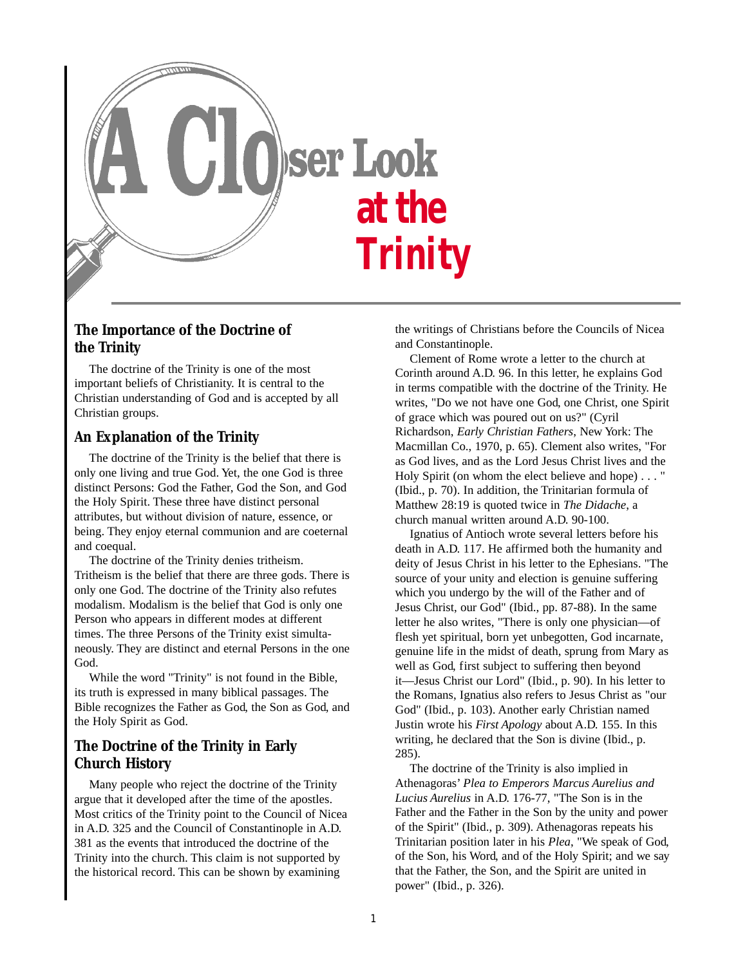

# **The Importance of the Doctrine of the Trinity**

The doctrine of the Trinity is one of the most important beliefs of Christianity. It is central to the Christian understanding of God and is accepted by all Christian groups.

### **An Explanation of the Trinity**

The doctrine of the Trinity is the belief that there is only one living and true God. Yet, the one God is three distinct Persons: God the Father, God the Son, and God the Holy Spirit. These three have distinct personal attributes, but without division of nature, essence, or being. They enjoy eternal communion and are coeternal and coequal.

The doctrine of the Trinity denies tritheism. Tritheism is the belief that there are three gods. There is only one God. The doctrine of the Trinity also refutes modalism. Modalism is the belief that God is only one Person who appears in different modes at different times. The three Persons of the Trinity exist simultaneously. They are distinct and eternal Persons in the one God.

While the word "Trinity" is not found in the Bible, its truth is expressed in many biblical passages. The Bible recognizes the Father as God, the Son as God, and the Holy Spirit as God.

# **The Doctrine of the Trinity in Early Church History**

Many people who reject the doctrine of the Trinity argue that it developed after the time of the apostles. Most critics of the Trinity point to the Council of Nicea in A.D. 325 and the Council of Constantinople in A.D. 381 as the events that introduced the doctrine of the Trinity into the church. This claim is not supported by the historical record. This can be shown by examining

the writings of Christians before the Councils of Nicea and Constantinople.

Clement of Rome wrote a letter to the church at Corinth around A.D. 96. In this letter, he explains God in terms compatible with the doctrine of the Trinity. He writes, "Do we not have one God, one Christ, one Spirit of grace which was poured out on us?" (Cyril Richardson, *Early Christian Fathers*, New York: The Macmillan Co., 1970, p. 65). Clement also writes, "For as God lives, and as the Lord Jesus Christ lives and the Holy Spirit (on whom the elect believe and hope) . . . " (Ibid., p. 70). In addition, the Trinitarian formula of Matthew 28:19 is quoted twice in *The Didache*, a church manual written around A.D. 90-100.

Ignatius of Antioch wrote several letters before his death in A.D. 117. He affirmed both the humanity and deity of Jesus Christ in his letter to the Ephesians. "The source of your unity and election is genuine suffering which you undergo by the will of the Father and of Jesus Christ, our God" (Ibid., pp. 87-88). In the same letter he also writes, "There is only one physician—of flesh yet spiritual, born yet unbegotten, God incarnate, genuine life in the midst of death, sprung from Mary as well as God, first subject to suffering then beyond it—Jesus Christ our Lord" (Ibid., p. 90). In his letter to the Romans, Ignatius also refers to Jesus Christ as "our God" (Ibid., p. 103). Another early Christian named Justin wrote his *First Apology* about A.D. 155. In this writing, he declared that the Son is divine (Ibid., p. 285).

The doctrine of the Trinity is also implied in Athenagoras' *Plea to Emperors Marcus Aurelius and Lucius Aurelius* in A.D. 176-77, "The Son is in the Father and the Father in the Son by the unity and power of the Spirit" (Ibid., p. 309). Athenagoras repeats his Trinitarian position later in his *Plea*, "We speak of God, of the Son, his Word, and of the Holy Spirit; and we say that the Father, the Son, and the Spirit are united in power" (Ibid., p. 326).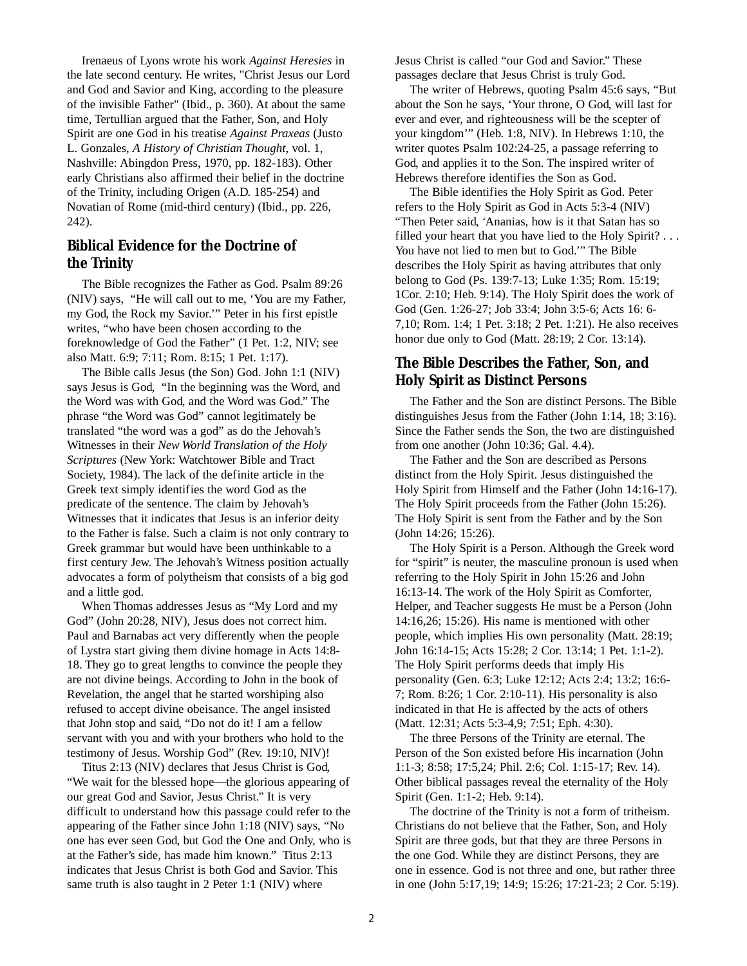Irenaeus of Lyons wrote his work *Against Heresies* in the late second century. He writes, "Christ Jesus our Lord and God and Savior and King, according to the pleasure of the invisible Father" (Ibid., p. 360). At about the same time, Tertullian argued that the Father, Son, and Holy Spirit are one God in his treatise *Against Praxeas* (Justo L. Gonzales, *A History of Christian Thought*, vol. 1, Nashville: Abingdon Press, 1970, pp. 182-183). Other early Christians also affirmed their belief in the doctrine of the Trinity, including Origen (A.D. 185-254) and Novatian of Rome (mid-third century) (Ibid., pp. 226, 242).

### **Biblical Evidence for the Doctrine of the Trinity**

The Bible recognizes the Father as God. Psalm 89:26 (NIV) says, "He will call out to me, 'You are my Father, my God, the Rock my Savior.'" Peter in his first epistle writes, "who have been chosen according to the foreknowledge of God the Father" (1 Pet. 1:2, NIV; see also Matt. 6:9; 7:11; Rom. 8:15; 1 Pet. 1:17).

The Bible calls Jesus (the Son) God. John 1:1 (NIV) says Jesus is God, "In the beginning was the Word, and the Word was with God, and the Word was God." The phrase "the Word was God" cannot legitimately be translated "the word was a god" as do the Jehovah's Witnesses in their *New World Translation of the Holy Scriptures* (New York: Watchtower Bible and Tract Society, 1984). The lack of the definite article in the Greek text simply identifies the word God as the predicate of the sentence. The claim by Jehovah's Witnesses that it indicates that Jesus is an inferior deity to the Father is false. Such a claim is not only contrary to Greek grammar but would have been unthinkable to a first century Jew. The Jehovah's Witness position actually advocates a form of polytheism that consists of a big god and a little god.

When Thomas addresses Jesus as "My Lord and my God" (John 20:28, NIV), Jesus does not correct him. Paul and Barnabas act very differently when the people of Lystra start giving them divine homage in Acts 14:8- 18. They go to great lengths to convince the people they are not divine beings. According to John in the book of Revelation, the angel that he started worshiping also refused to accept divine obeisance. The angel insisted that John stop and said, "Do not do it! I am a fellow servant with you and with your brothers who hold to the testimony of Jesus. Worship God" (Rev. 19:10, NIV)!

Titus 2:13 (NIV) declares that Jesus Christ is God, "We wait for the blessed hope—the glorious appearing of our great God and Savior, Jesus Christ." It is very difficult to understand how this passage could refer to the appearing of the Father since John 1:18 (NIV) says, "No one has ever seen God, but God the One and Only, who is at the Father's side, has made him known." Titus 2:13 indicates that Jesus Christ is both God and Savior. This same truth is also taught in 2 Peter 1:1 (NIV) where

Jesus Christ is called "our God and Savior." These passages declare that Jesus Christ is truly God.

The writer of Hebrews, quoting Psalm 45:6 says, "But about the Son he says, 'Your throne, O God, will last for ever and ever, and righteousness will be the scepter of your kingdom'" (Heb. 1:8, NIV). In Hebrews 1:10, the writer quotes Psalm 102:24-25, a passage referring to God, and applies it to the Son. The inspired writer of Hebrews therefore identifies the Son as God.

The Bible identifies the Holy Spirit as God. Peter refers to the Holy Spirit as God in Acts 5:3-4 (NIV) "Then Peter said, 'Ananias, how is it that Satan has so filled your heart that you have lied to the Holy Spirit? . . . You have not lied to men but to God.'" The Bible describes the Holy Spirit as having attributes that only belong to God (Ps. 139:7-13; Luke 1:35; Rom. 15:19; 1Cor. 2:10; Heb. 9:14). The Holy Spirit does the work of God (Gen. 1:26-27; Job 33:4; John 3:5-6; Acts 16: 6- 7,10; Rom. 1:4; 1 Pet. 3:18; 2 Pet. 1:21). He also receives honor due only to God (Matt. 28:19; 2 Cor. 13:14).

### **The Bible Describes the Father, Son, and Holy Spirit as Distinct Persons**

The Father and the Son are distinct Persons. The Bible distinguishes Jesus from the Father (John 1:14, 18; 3:16). Since the Father sends the Son, the two are distinguished from one another (John 10:36; Gal. 4.4).

The Father and the Son are described as Persons distinct from the Holy Spirit. Jesus distinguished the Holy Spirit from Himself and the Father (John 14:16-17). The Holy Spirit proceeds from the Father (John 15:26). The Holy Spirit is sent from the Father and by the Son (John 14:26; 15:26).

The Holy Spirit is a Person. Although the Greek word for "spirit" is neuter, the masculine pronoun is used when referring to the Holy Spirit in John 15:26 and John 16:13-14. The work of the Holy Spirit as Comforter, Helper, and Teacher suggests He must be a Person (John 14:16,26; 15:26). His name is mentioned with other people, which implies His own personality (Matt. 28:19; John 16:14-15; Acts 15:28; 2 Cor. 13:14; 1 Pet. 1:1-2). The Holy Spirit performs deeds that imply His personality (Gen. 6:3; Luke 12:12; Acts 2:4; 13:2; 16:6- 7; Rom. 8:26; 1 Cor. 2:10-11). His personality is also indicated in that He is affected by the acts of others (Matt. 12:31; Acts 5:3-4,9; 7:51; Eph. 4:30).

The three Persons of the Trinity are eternal. The Person of the Son existed before His incarnation (John 1:1-3; 8:58; 17:5,24; Phil. 2:6; Col. 1:15-17; Rev. 14). Other biblical passages reveal the eternality of the Holy Spirit (Gen. 1:1-2; Heb. 9:14).

The doctrine of the Trinity is not a form of tritheism. Christians do not believe that the Father, Son, and Holy Spirit are three gods, but that they are three Persons in the one God. While they are distinct Persons, they are one in essence. God is not three and one, but rather three in one (John 5:17,19; 14:9; 15:26; 17:21-23; 2 Cor. 5:19).